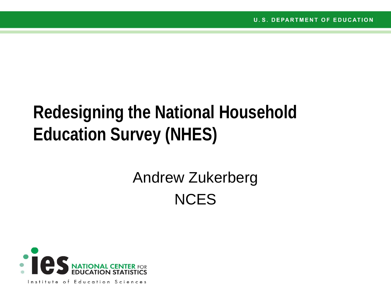# **Redesigning the National Household Education Survey (NHES)**

# Andrew Zukerberg **NCES**

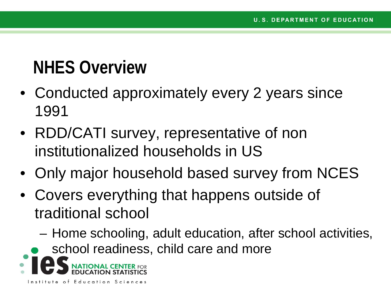# **NHES Overview**

- Conducted approximately every 2 years since 1991
- RDD/CATI survey, representative of non institutionalized households in US
- Only major household based survey from NCES
- Covers everything that happens outside of traditional school
	- Home schooling, adult education, after school activities,
	- school readiness, child care and more

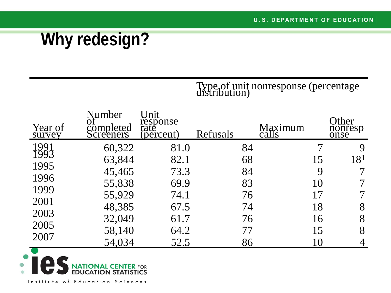# **Why redesign?**

Type of unit nonresponse (percentage distribution)

| Year of<br>survey | Number<br>completed<br>Screeners | Unit<br>response<br>rate<br>(percent) | Refusals | Maximum<br>calls | Other<br>nonresp<br>onse |
|-------------------|----------------------------------|---------------------------------------|----------|------------------|--------------------------|
| 991<br>993        | 60,322                           | 81.0                                  | 84       |                  |                          |
|                   | 63,844                           | 82.1                                  | 68       | 15               | 18 <sup>1</sup>          |
| 1995              | 45,465                           | 73.3                                  | 84       | 9                |                          |
| 1996              | 55,838                           | 69.9                                  | 83       | 10               |                          |
| 1999              | 55,929                           | 74.1                                  | 76       | 17               |                          |
| 2001              |                                  |                                       |          |                  |                          |
| 2003              | 48,385                           | 67.5                                  | 74       | 18               | 8                        |
|                   | 32,049                           | 61.7                                  | 76       | 16               | 8                        |
| 2005              | 58,140                           | 64.2                                  | 77       | 15               | 8                        |
| 2007              | 54,034                           | 52.5                                  | 86       | 10               |                          |

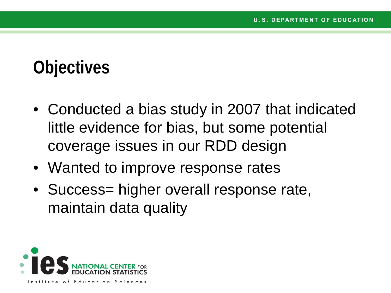## **Objectives**

- Conducted a bias study in 2007 that indicated little evidence for bias, but some potential coverage issues in our RDD design
- Wanted to improve response rates
- Success= higher overall response rate, maintain data quality

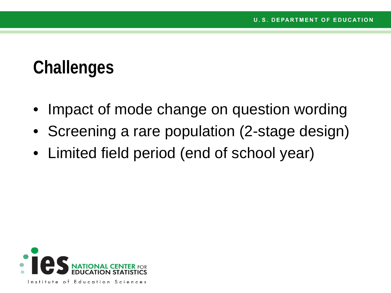## **Challenges**

- Impact of mode change on question wording
- Screening a rare population (2-stage design)
- Limited field period (end of school year)

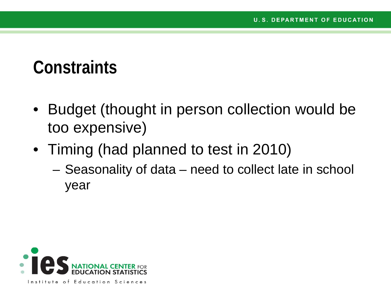#### **Constraints**

- Budget (thought in person collection would be too expensive)
- Timing (had planned to test in 2010)
	- Seasonality of data need to collect late in school year

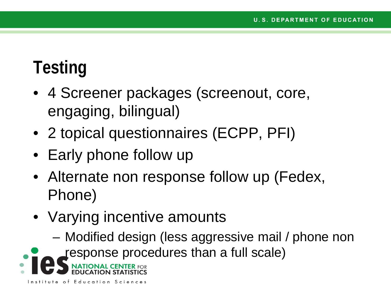# **Testing**

- 4 Screener packages (screenout, core, engaging, bilingual)
- 2 topical questionnaires (ECPP, PFI)
- Early phone follow up
- Alternate non response follow up (Fedex, Phone)
- Varying incentive amounts
	- Modified design (less aggressive mail / phone non
- response procedures than a full scale)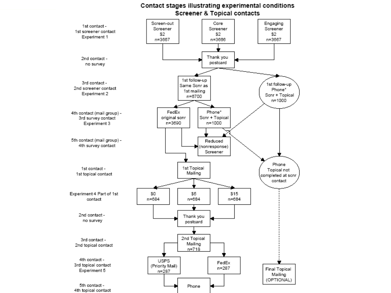#### Contact stages illustrating experimental conditions **Screener & Topical contacts**

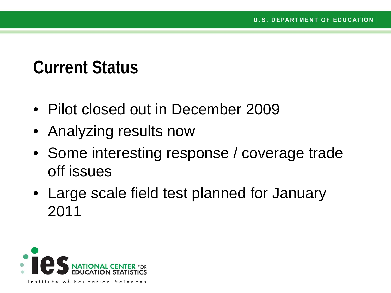### **Current Status**

- Pilot closed out in December 2009
- Analyzing results now
- Some interesting response / coverage trade off issues
- Large scale field test planned for January 2011